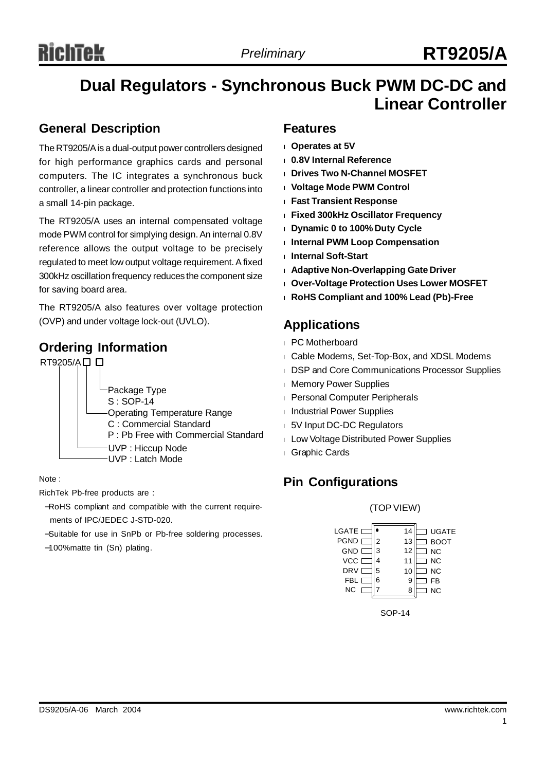## **Dual Regulators - Synchronous Buck PWM DC-DC and Linear Controller**

## **General Description**

The RT9205/Ais a dual-output power controllers designed for high performance graphics cards and personal computers. The IC integrates a synchronous buck controller, a linear controller and protection functions into a small 14-pin package.

The RT9205/A uses an internal compensated voltage mode PWM control for simplying design. An internal 0.8V reference allows the output voltage to be precisely regulated to meet low output voltage requirement.Afixed 300kHz oscillation frequency reduces the component size for saving board area.

The RT9205/A also features over voltage protection (OVP) and under voltage lock-out (UVLO).

## **Ordering Information**



## Note :

RichTek Pb-free products are :

- −RoHS compliant and compatible with the current requirements of IPC/JEDEC J-STD-020.
- −Suitable for use in SnPb or Pb-free soldering processes.
- −100%matte tin (Sn) plating.

## **Features**

- **<sup>l</sup> Operates at 5V**
- **<sup>l</sup> 0.8V Internal Reference**
- **<sup>l</sup> Drives Two N-Channel MOSFET**
- **<sup>l</sup> Voltage Mode PWM Control**
- **<sup>l</sup> Fast Transient Response**
- **<sup>l</sup> Fixed 300kHz Oscillator Frequency**
- **<sup>l</sup> Dynamic 0 to 100% Duty Cycle**
- **<sup>l</sup> Internal PWM Loop Compensation**
- **<sup>l</sup> Internal Soft-Start**
- **<sup>l</sup> Adaptive Non-Overlapping Gate Driver**
- **<sup>l</sup> Over-Voltage Protection Uses Lower MOSFET**
- **<sup>l</sup> RoHS Compliant and 100% Lead (Pb)-Free**

## **Applications**

- <sup>l</sup> PC Motherboard
- <sup>l</sup> Cable Modems, Set-Top-Box, and XDSL Modems
- <sup>l</sup> DSP and Core Communications Processor Supplies
- <sup>l</sup> Memory Power Supplies
- **I** Personal Computer Peripherals
- <sup>l</sup> Industrial Power Supplies
- <sup>l</sup> 5V Input DC-DC Regulators
- <sup>l</sup> Low Voltage Distributed Power Supplies
- <sup>l</sup> Graphic Cards

## **Pin Configurations**

#### (TOPVIEW)



SOP-14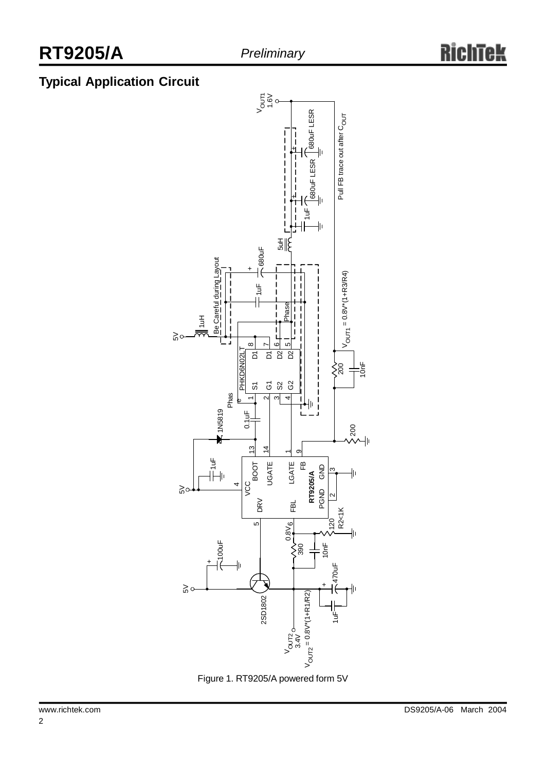## **Typical Application Circuit**



Figure 1. RT9205/A powered form 5V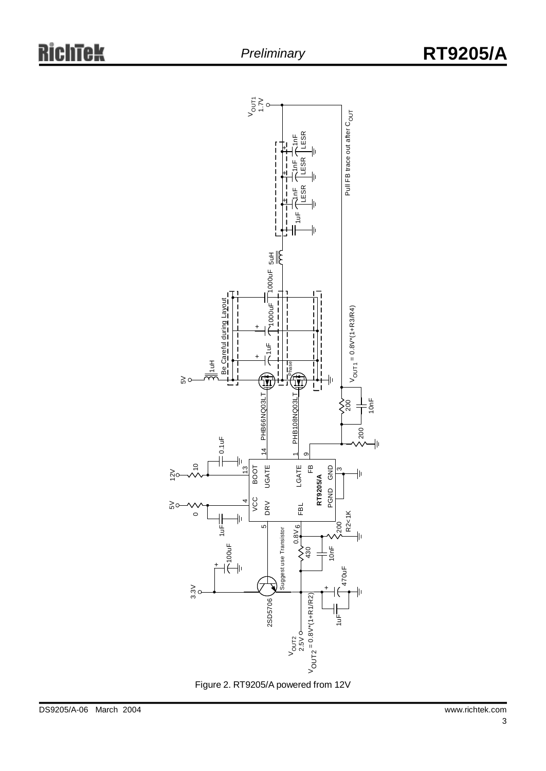

Figure 2. RT9205/A powered from 12V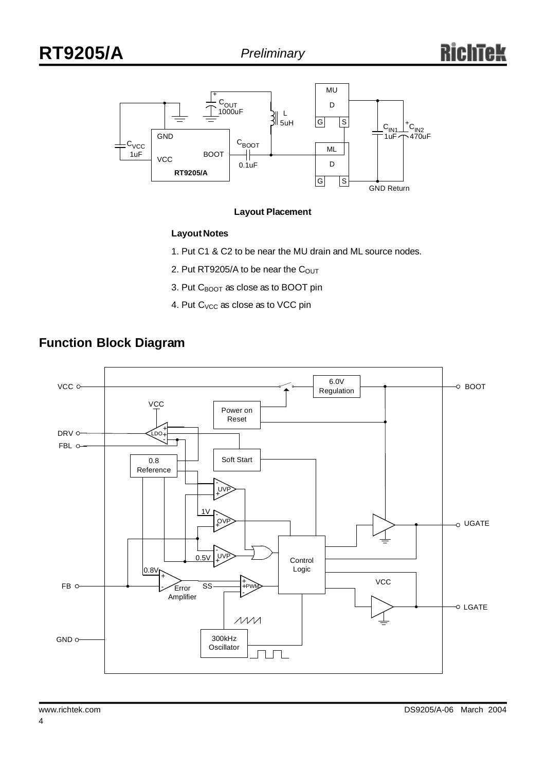

#### **Layout Placement**

## **Layout Notes**

- 1. Put C1 & C2 to be near the MU drain and ML source nodes.
- 2. Put RT9205/A to be near the  $C<sub>OUT</sub>$
- 3. Put C<sub>BOOT</sub> as close as to BOOT pin
- 4. Put C<sub>VCC</sub> as close as to VCC pin



## **Function Block Diagram**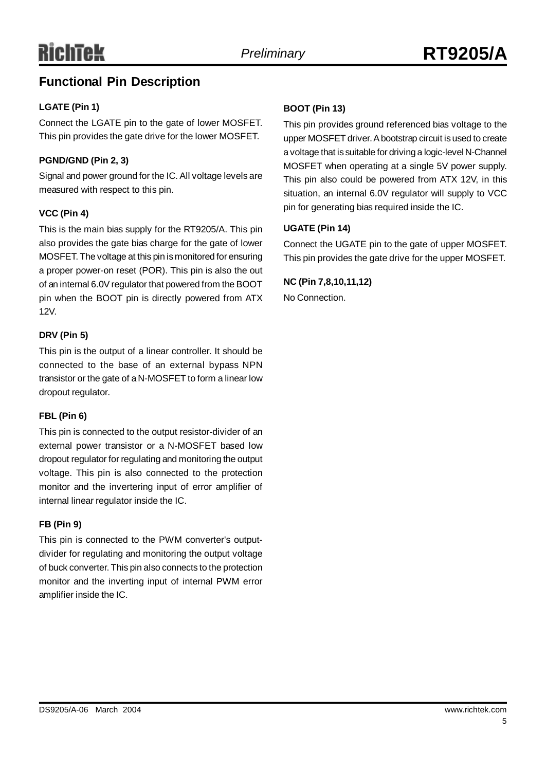## **Functional Pin Description**

## **LGATE (Pin 1)**

Connect the LGATE pin to the gate of lower MOSFET. This pin provides the gate drive for the lower MOSFET.

## **PGND/GND (Pin 2, 3)**

Signal and power ground for the IC. All voltage levels are measured with respect to this pin.

## **VCC (Pin 4)**

This is the main bias supply for the RT9205/A. This pin also provides the gate bias charge for the gate of lower MOSFET. The voltage at this pin is monitored for ensuring a proper power-on reset (POR). This pin is also the out of an internal 6.0V regulator that powered from the BOOT pin when the BOOT pin is directly powered from ATX 12V.

## **DRV (Pin 5)**

This pin is the output of a linear controller. It should be connected to the base of an external bypass NPN transistor or the gate of a N-MOSFET to form a linear low dropout regulator.

## **FBL (Pin 6)**

This pin is connected to the output resistor-divider of an external power transistor or a N-MOSFET based low dropout regulator for regulating and monitoring the output voltage. This pin is also connected to the protection monitor and the invertering input of error amplifier of internal linear regulator inside the IC.

## **FB (Pin 9)**

This pin is connected to the PWM converter's outputdivider for regulating and monitoring the output voltage of buck converter. This pin also connects to the protection monitor and the inverting input of internal PWM error amplifier inside the IC.

## **BOOT (Pin 13)**

This pin provides ground referenced bias voltage to the upper MOSFET driver.Abootstrap circuit is used to create a voltage that is suitable for driving a logic-level N-Channel MOSFET when operating at a single 5V power supply. This pin also could be powered from ATX 12V, in this situation, an internal 6.0V regulator will supply to VCC pin for generating bias required inside the IC.

## **UGATE (Pin 14)**

Connect the UGATE pin to the gate of upper MOSFET. This pin provides the gate drive for the upper MOSFET.

## **NC (Pin 7,8,10,11,12)**

No Connection.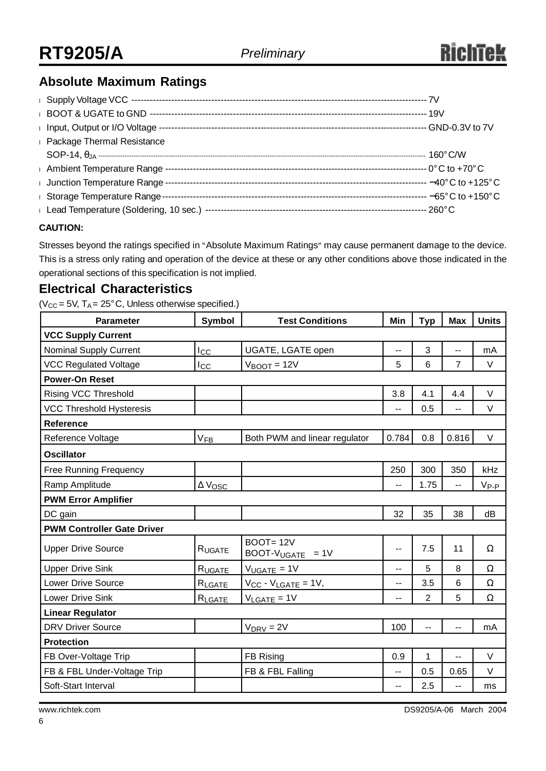## **Absolute Maximum Ratings**

| i Input, Output or I/O Voltage -    |  |
|-------------------------------------|--|
| <b>I</b> Package Thermal Resistance |  |
|                                     |  |
| <b>Ambient Temperature Range</b>    |  |
| Junction Temperature Range          |  |
| I Storage Temperature Range-        |  |
|                                     |  |

## **CAUTION:**

Stresses beyond the ratings specified in "Absolute Maximum Ratings" may cause permanent damage to the device. This is a stress only rating and operation of the device at these or any other conditions above those indicated in the operational sections of this specification is not implied.

## **Electrical Characteristics**

 $(V_{CC} = 5V, T_A = 25^\circ C,$  Unless otherwise specified.)

| <b>Parameter</b>                  | Symbol                | <b>Test Conditions</b>             | Min   | <b>Typ</b> | Max            | <b>Units</b> |  |  |
|-----------------------------------|-----------------------|------------------------------------|-------|------------|----------------|--------------|--|--|
| <b>VCC Supply Current</b>         |                       |                                    |       |            |                |              |  |  |
| Nominal Supply Current            | $_{\rm lcc}$          | UGATE, LGATE open                  | --    | 3          |                | mA           |  |  |
| <b>VCC Regulated Voltage</b>      | Icc                   | $V_{\text{BOOT}} = 12V$            | 5     | 6          | $\overline{7}$ | V            |  |  |
| <b>Power-On Reset</b>             |                       |                                    |       |            |                |              |  |  |
| Rising VCC Threshold              |                       |                                    | 3.8   | 4.1        | 4.4            | $\vee$       |  |  |
| <b>VCC Threshold Hysteresis</b>   |                       |                                    |       | 0.5        | --             | V            |  |  |
| <b>Reference</b>                  |                       |                                    |       |            |                |              |  |  |
| Reference Voltage                 | $V_{FB}$              | Both PWM and linear regulator      | 0.784 | 0.8        | 0.816          | $\vee$       |  |  |
| <b>Oscillator</b>                 |                       |                                    |       |            |                |              |  |  |
| <b>Free Running Frequency</b>     |                       |                                    | 250   | 300        | 350            | kHz          |  |  |
| Ramp Amplitude                    | $\Delta V_{\rm{OSC}}$ |                                    | --    | 1.75       | $-$            | $V_{P-P}$    |  |  |
| <b>PWM Error Amplifier</b>        |                       |                                    |       |            |                |              |  |  |
| DC gain                           |                       |                                    | 32    | 35         | 38             | dB           |  |  |
| <b>PWM Controller Gate Driver</b> |                       |                                    |       |            |                |              |  |  |
| <b>Upper Drive Source</b>         | RUGATE                | $BOOT = 12V$<br>$BOOT-VUGATE = 1V$ | $-$   | 7.5        | 11             | $\Omega$     |  |  |
| <b>Upper Drive Sink</b>           | R <sub>UGATE</sub>    | $V_{UGATE} = 1V$                   | $-$   | 5          | 8              | $\Omega$     |  |  |
| <b>Lower Drive Source</b>         | RLGATE                | $V_{CC} - V_{LGATE} = 1V$ ,        | --    | 3.5        | 6              | $\Omega$     |  |  |
| Lower Drive Sink                  | RLGATE                | $V_{LGATE} = 1V$                   | $-$   | 2          | 5              | Ω            |  |  |
| <b>Linear Regulator</b>           |                       |                                    |       |            |                |              |  |  |
| <b>DRV Driver Source</b>          |                       | $V_{DRV} = 2V$                     | 100   | --         |                | mA           |  |  |
| <b>Protection</b>                 |                       |                                    |       |            |                |              |  |  |
| FB Over-Voltage Trip              |                       | FB Rising                          | 0.9   | 1          |                | $\vee$       |  |  |
| FB & FBL Under-Voltage Trip       |                       | FB & FBL Falling                   | --    | 0.5        | 0.65           | V            |  |  |
| Soft-Start Interval               |                       |                                    | $-$   | 2.5        | $-$            | ms           |  |  |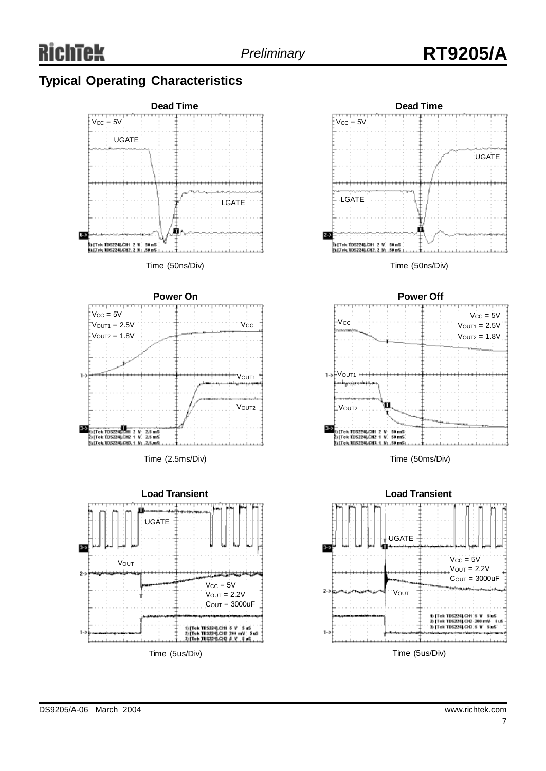## **Typical Operating Characteristics**





Time (50ns/Div)



Time (50ms/Div)

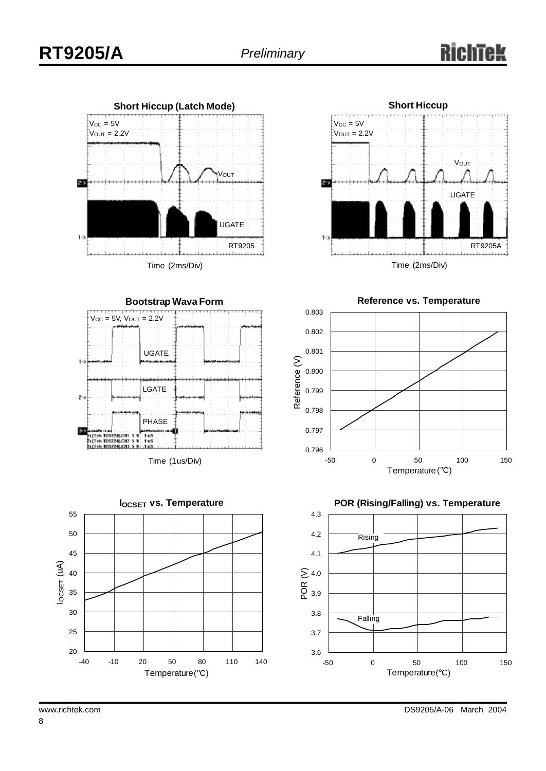







**Reference vs. Temperature**





8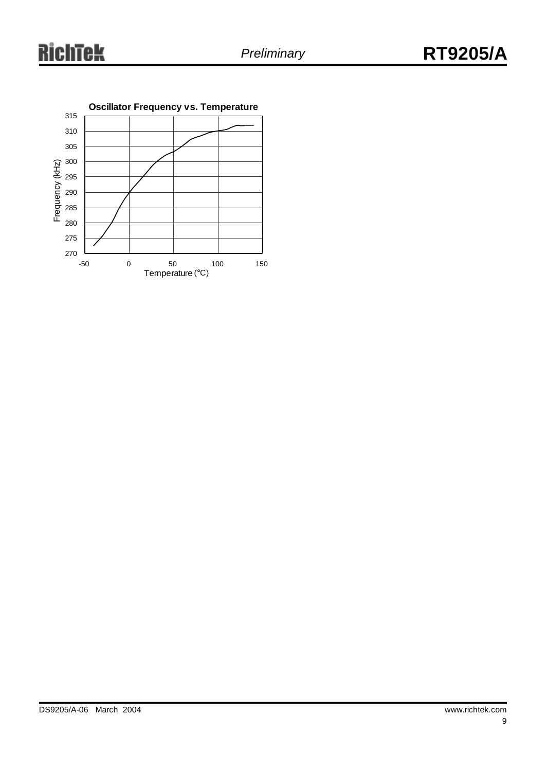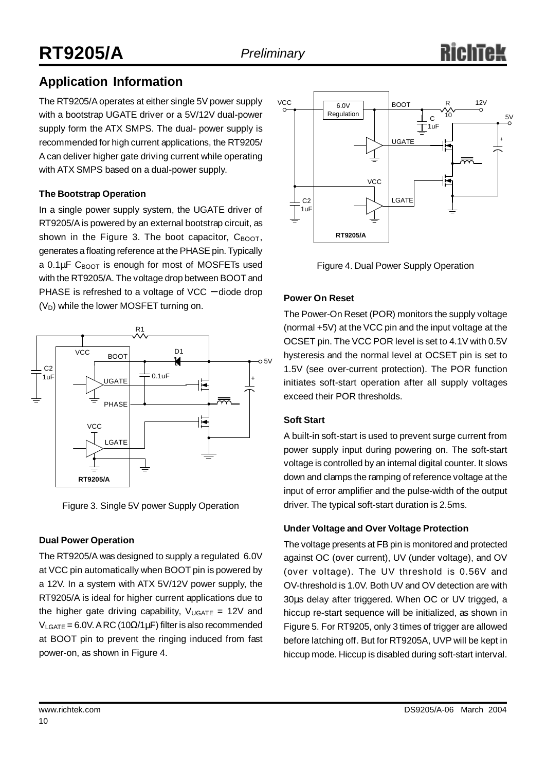## **Application Information**

The RT9205/Aoperates at either single 5V power supply with a bootstrap UGATE driver or a 5V/12V dual-power supply form the ATX SMPS. The dual- power supply is recommended for high current applications, the RT9205/ A can deliver higher gate driving current while operating with ATX SMPS based on a dual-power supply.

## **The Bootstrap Operation**

In a single power supply system, the UGATE driver of RT9205/Ais powered by an external bootstrap circuit, as shown in the Figure 3. The boot capacitor,  $C_{\text{BOOT}}$ , generates a floating reference at the PHASE pin. Typically a  $0.1 \mu$ F C<sub>BOOT</sub> is enough for most of MOSFETs used with the RT9205/A. The voltage drop between BOOT and PHASE is refreshed to a voltage of VCC – diode drop  $(V_D)$  while the lower MOSFET turning on.



Figure 3. Single 5V power Supply Operation

## **Dual Power Operation**

The RT9205/A was designed to supply a regulated 6.0V at VCC pin automatically when BOOT pin is powered by a 12V. In a system with ATX 5V/12V power supply, the RT9205/A is ideal for higher current applications due to the higher gate driving capability,  $V_{UGATE} = 12V$  and  $V_{LGATE}$  = 6.0V. ARC (10Ω/1μF) filter is also recommended at BOOT pin to prevent the ringing induced from fast power-on, as shown in Figure 4.



Figure 4. Dual Power Supply Operation

## **Power On Reset**

The Power-On Reset (POR) monitors the supply voltage (normal +5V) at the VCC pin and the input voltage at the OCSET pin. The VCC POR level is set to 4.1V with 0.5V hysteresis and the normal level at OCSET pin is set to 1.5V (see over-current protection). The POR function initiates soft-start operation after all supply voltages exceed their POR thresholds.

## **Soft Start**

A built-in soft-start is used to prevent surge current from power supply input during powering on. The soft-start voltage is controlled by an internal digital counter. It slows down and clamps the ramping of reference voltage at the input of error amplifier and the pulse-width of the output driver. The typical soft-start duration is 2.5ms.

## **Under Voltage and Over Voltage Protection**

The voltage presents at FB pin is monitored and protected against OC (over current), UV (under voltage), and OV (over voltage). The UV threshold is 0.56V and OV-threshold is 1.0V. Both UV and OV detection are with 30μs delay after triggered. When OC or UV trigged, a hiccup re-start sequence will be initialized, as shown in Figure 5. For RT9205, only 3 times of trigger are allowed before latching off. But for RT9205A, UVP will be kept in hiccup mode. Hiccup is disabled during soft-start interval.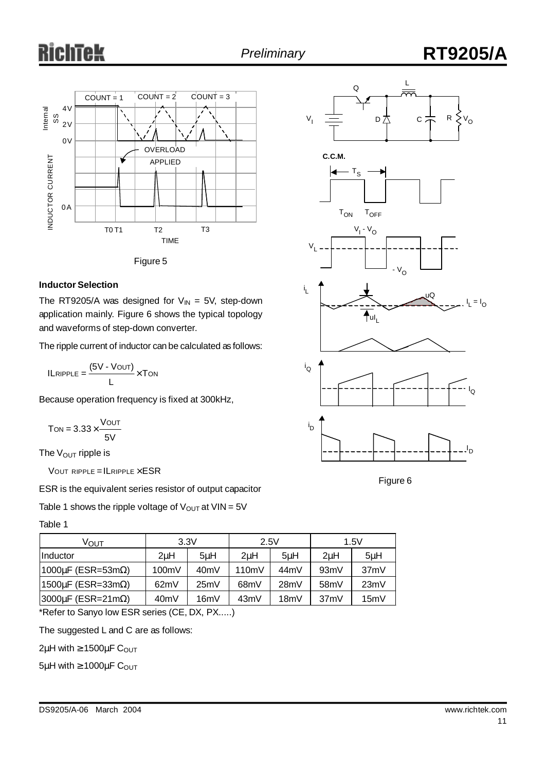## Tek Ch





#### **Inductor Selection**

The RT9205/A was designed for  $V_{IN} = 5V$ , step-down application mainly. Figure 6 shows the typical topology and waveforms of step-down converter.

The ripple current of inductor can be calculated as follows:

 $ILRIPPLE = \frac{(5V - VOUT)}{V} \times TON$ L

Because operation frequency is fixed at 300kHz,

$$
T_{ON} = 3.33 \times \frac{V_{OUT}}{5V}
$$

The  $V_{\text{OUT}}$  ripple is

VOUT RIPPLE =  $ILRIPPLE \times ESR$ 

ESR is the equivalent series resistor of output capacitor

Table 1 shows the ripple voltage of  $V_{OUT}$  at  $VIN = 5V$ 

#### Table 1

| ∨ουτ                             | 3.3V              |      | 2.5V              |                   | 1.5V              |         |
|----------------------------------|-------------------|------|-------------------|-------------------|-------------------|---------|
| IInductor                        | 2uH               | 5uH  | 2 <sub>u</sub> H  | 5uH               | 2 <sub>u</sub> H  | $5\muH$ |
| $1000\mu$ F (ESR=53m $\Omega$ )  | 100mV             | 40mV | 110mV             | 44mV              | 93mV              | 37mV    |
| $1500 \mu F$ (ESR=33m $\Omega$ ) | 62mV              | 25mV | 68 <sub>m</sub> V | 28mV              | 58 <sub>m</sub> V | 23mV    |
| $ 3000\mu$ F (ESR=21m $\Omega$ ) | 40 <sub>m</sub> V | 16mV | 43mV              | 18 <sub>m</sub> V | 37mV              | 15mV    |

\*Refer to Sanyo low ESR series (CE, DX, PX.....)

The suggested L and C are as follows:

 $2\mu$ H with  $\geq 1500\mu$ F C<sub>OUT</sub>

 $5\mu$ H with  $\geq 1000\mu$ F C<sub>OUT</sub>

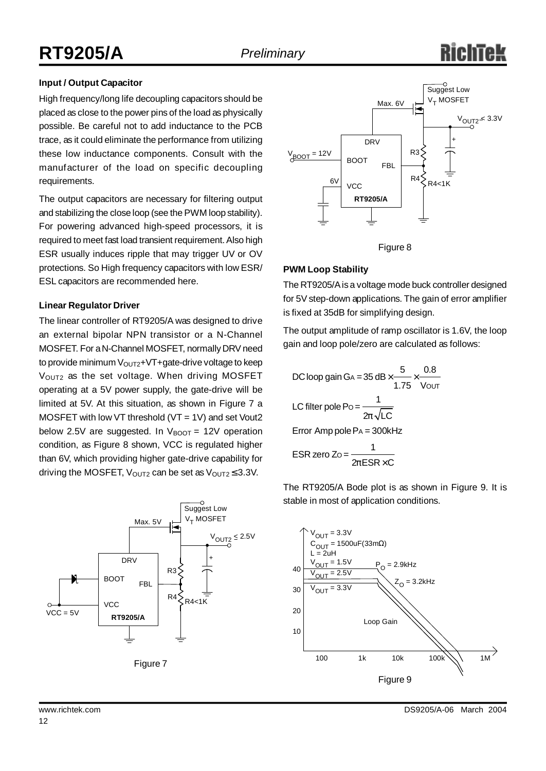## **Input / Output Capacitor**

High frequency/long life decoupling capacitors should be placed as close to the power pins of the load as physically possible. Be careful not to add inductance to the PCB trace, as it could eliminate the performance from utilizing these low inductance components. Consult with the manufacturer of the load on specific decoupling requirements.

The output capacitors are necessary for filtering output and stabilizing the close loop (see the PWM loop stability). For powering advanced high-speed processors, it is required to meet fast load transient requirement. Also high ESR usually induces ripple that may trigger UV or OV protections. So High frequency capacitors with low ESR/ ESL capacitors are recommended here.

#### **Linear Regulator Driver**

The linear controller of RT9205/A was designed to drive an external bipolar NPN transistor or a N-Channel MOSFET. For a N-Channel MOSFET, normally DRV need to provide minimum  $V_{\text{OUT2}}+V$ T+gate-drive voltage to keep V<sub>OUT2</sub> as the set voltage. When driving MOSFET operating at a 5V power supply, the gate-drive will be limited at 5V. At this situation, as shown in Figure 7 a MOSFET with low VT threshold (VT = 1V) and set Vout2 below 2.5V are suggested. In  $V_{\text{BOOT}} = 12V$  operation condition, as Figure 8 shown, VCC is regulated higher than 6V, which providing higher gate-drive capability for driving the MOSFET,  $V_{\text{OUT2}}$  can be set as  $V_{\text{OUT2}} \leq 3.3V$ .









## **PWM Loop Stability**

The RT9205/Ais a voltage mode buck controller designed for 5V step-down applications. The gain of error amplifier is fixed at 35dB for simplifying design.

The output amplitude of ramp oscillator is 1.6V, the loop gain and loop pole/zero are calculated as follows:

DC loop gain GA = 35 dB × 
$$
\frac{5}{1.75} \times \frac{0.8}{V_{\text{OUT}}}
$$
  
\nLC filter pole Po =  $\frac{1}{2p\sqrt{LC}}$   
\nError Amp pole Pa = 300kHz  
\nESR zero Zo =  $\frac{1}{2pESR \times C}$ 

The RT9205/A Bode plot is as shown in Figure 9. It is stable in most of application conditions.

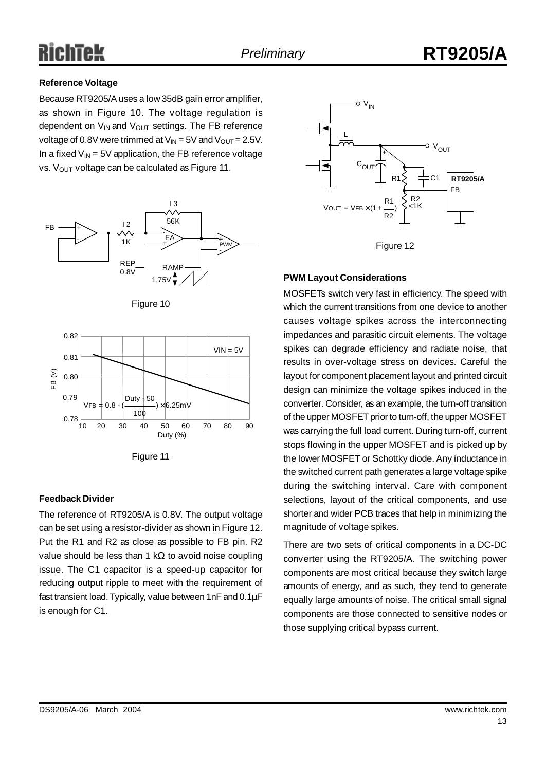## **Reference Voltage**

Because RT9205/Auses a low 35dB gain error amplifier, as shown in Figure 10. The voltage regulation is dependent on  $V_{IN}$  and  $V_{OUT}$  settings. The FB reference voltage of 0.8V were trimmed at  $V_{IN} = 5V$  and  $V_{OUT} = 2.5V$ . In a fixed  $V_{\text{IN}}$  = 5V application, the FB reference voltage vs. V<sub>OUT</sub> voltage can be calculated as Figure 11.



Figure 10



Figure 11

## **Feedback Divider**

The reference of RT9205/A is 0.8V. The output voltage can be set using a resistor-divider as shown in Figure 12. Put the R1 and R2 as close as possible to FB pin. R2 value should be less than 1 kΩ to avoid noise coupling issue. The C1 capacitor is a speed-up capacitor for reducing output ripple to meet with the requirement of fast transient load.Typically, value between 1nF and 0.1μF is enough for C1.





## **PWM Layout Considerations**

MOSFETs switch very fast in efficiency. The speed with which the current transitions from one device to another causes voltage spikes across the interconnecting impedances and parasitic circuit elements. The voltage spikes can degrade efficiency and radiate noise, that results in over-voltage stress on devices. Careful the layout for component placement layout and printed circuit design can minimize the voltage spikes induced in the converter. Consider, as an example, the turn-off transition of the upper MOSFET prior to turn-off, the upper MOSFET was carrying the full load current. During turn-off, current stops flowing in the upper MOSFET and is picked up by the lower MOSFET or Schottky diode. Any inductance in the switched current path generates a large voltage spike during the switching interval. Care with component selections, layout of the critical components, and use shorter and wider PCB traces that help in minimizing the magnitude of voltage spikes.

There are two sets of critical components in a DC-DC converter using the RT9205/A. The switching power components are most critical because they switch large amounts of energy, and as such, they tend to generate equally large amounts of noise. The critical small signal components are those connected to sensitive nodes or those supplying critical bypass current.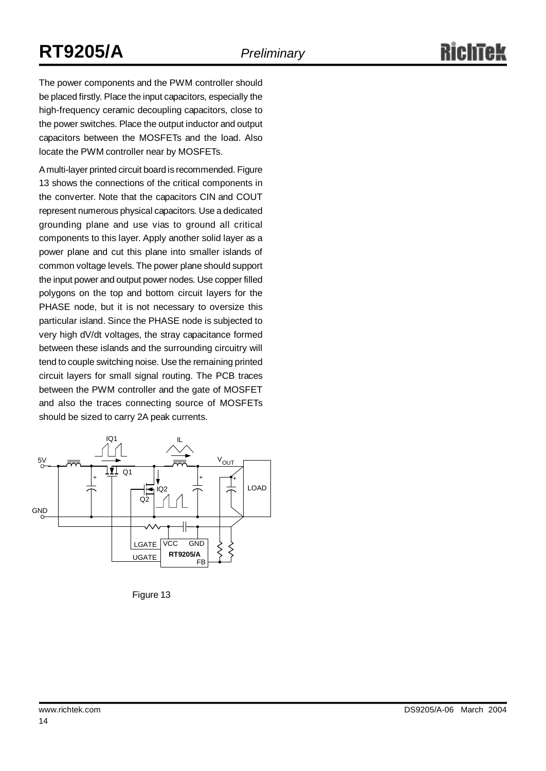# **RT9205/A** *Preliminary*

The power components and the PWM controller should be placed firstly. Place the input capacitors, especially the high-frequency ceramic decoupling capacitors, close to the power switches. Place the output inductor and output capacitors between the MOSFETs and the load. Also locate the PWM controller near by MOSFETs.

A multi-layer printed circuit board is recommended. Figure 13 shows the connections of the critical components in the converter. Note that the capacitors CIN and COUT represent numerous physical capacitors. Use a dedicated grounding plane and use vias to ground all critical components to this layer. Apply another solid layer as a power plane and cut this plane into smaller islands of common voltage levels. The power plane should support the input power and output power nodes. Use copper filled polygons on the top and bottom circuit layers for the PHASE node, but it is not necessary to oversize this particular island. Since the PHASE node is subjected to very high dV/dt voltages, the stray capacitance formed between these islands and the surrounding circuitry will tend to couple switching noise. Use the remaining printed circuit layers for small signal routing. The PCB traces between the PWM controller and the gate of MOSFET and also the traces connecting source of MOSFETs should be sized to carry 2A peak currents.



Figure 13